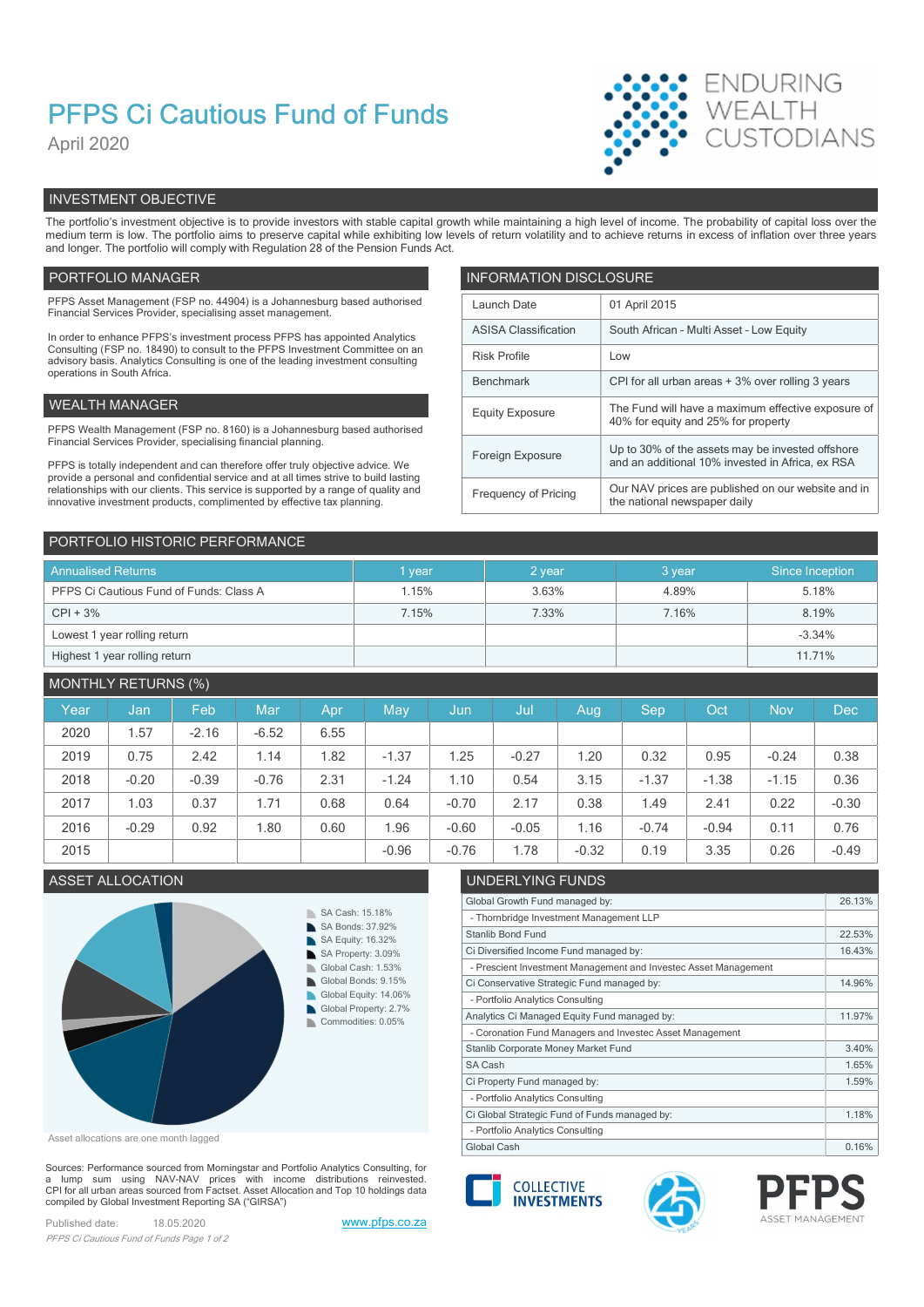# PFPS Ci Cautious Fund of Funds

April 2020



# INVESTMENT OBJECTIVE

The portfolio's investment objective is to provide investors with stable capital growth while maintaining a high level of income. The probability of capital loss over the medium term is low. The portfolio aims to preserve capital while exhibiting low levels of return volatility and to achieve returns in excess of inflation over three years and longer. The portfolio will comply with Regulation 28 of the Pension Funds Act.

## PORTFOLIO MANAGER **INFORMATION DISCLOSURE**

| PFPS Asset Management (FSP no. 44904) is a Johannesburg based authorised<br>Financial Services Provider, specialising asset management.                          | Launch Date                 | 01 April 2015                                                                                        |
|------------------------------------------------------------------------------------------------------------------------------------------------------------------|-----------------------------|------------------------------------------------------------------------------------------------------|
| In order to enhance PFPS's investment process PFPS has appointed Analytics                                                                                       | <b>ASISA Classification</b> | South African - Multi Asset - Low Equity                                                             |
| Consulting (FSP no. 18490) to consult to the PFPS Investment Committee on an<br>advisory basis. Analytics Consulting is one of the leading investment consulting | <b>Risk Profile</b>         | Low                                                                                                  |
| operations in South Africa.                                                                                                                                      | Benchmark                   | CPI for all urban areas + 3% over rolling 3 years                                                    |
| WEALTH MANAGER                                                                                                                                                   | <b>Equity Exposure</b>      | The Fund will have a maximum effective exposure of                                                   |
| PFPS Wealth Management (FSP no. 8160) is a Johannesburg based authorised                                                                                         |                             | 40% for equity and 25% for property                                                                  |
| Financial Services Provider, specialising financial planning.<br>PFPS is totally independent and can therefore offer truly objective advice. We                  | Foreign Exposure            | Up to 30% of the assets may be invested offshore<br>and an additional 10% invested in Africa, ex RSA |
| provide a personal and confidential service and at all times strive to build lasting                                                                             |                             |                                                                                                      |
| relationships with our clients. This service is supported by a range of quality and<br>innovative investment products, complimented by effective tax planning.   | Frequency of Pricing        | Our NAV prices are published on our website and in<br>the national newspaper daily                   |
|                                                                                                                                                                  |                             |                                                                                                      |

| PORTFOLIO HISTORIC PERFORMANCE          |        |        |        |                 |
|-----------------------------------------|--------|--------|--------|-----------------|
| <b>Annualised Returns</b>               | 1 year | 2 year | 3 year | Since Inception |
| PFPS Ci Cautious Fund of Funds: Class A | 1.15%  | 3.63%  | 4.89%  | 5.18%           |
| $CPI + 3%$                              | 7.15%  | 7.33%  | 7.16%  | 8.19%           |
| Lowest 1 year rolling return            |        |        |        | $-3.34%$        |
| Highest 1 year rolling return           |        |        |        | 11.71%          |

# MONTHLY RETURNS (%)

| Year | Jan     | Feb     | Mar     | Apr  | May     | Jun,    | Jul     | Aug     | <b>Sep</b> | Oct <sup>1</sup> | <b>Nov</b> | Dec     |
|------|---------|---------|---------|------|---------|---------|---------|---------|------------|------------------|------------|---------|
| 2020 | .57     | $-2.16$ | $-6.52$ | 6.55 |         |         |         |         |            |                  |            |         |
| 2019 | 0.75    | 2.42    | 1.14    | .82  | $-1.37$ | 1.25    | $-0.27$ | .20     | 0.32       | 0.95             | $-0.24$    | 0.38    |
| 2018 | $-0.20$ | $-0.39$ | $-0.76$ | 2.31 | $-1.24$ | 1.10    | 0.54    | 3.15    | $-1.37$    | $-1.38$          | $-1.15$    | 0.36    |
| 2017 | 1.03    | 0.37    | 1.71    | 0.68 | 0.64    | $-0.70$ | 2.17    | 0.38    | 1.49       | 2.41             | 0.22       | $-0.30$ |
| 2016 | $-0.29$ | 0.92    | 1.80    | 0.60 | 96. ا   | $-0.60$ | $-0.05$ | 1.16    | $-0.74$    | $-0.94$          | 0.11       | 0.76    |
| 2015 |         |         |         |      | $-0.96$ | $-0.76$ | .78     | $-0.32$ | 0.19       | 3.35             | 0.26       | $-0.49$ |
|      |         |         |         |      |         |         |         |         |            |                  |            |         |



Asset allocations are one month lagged

Sources: Performance sourced from Morningstar and Portfolio Analytics Consulting, for a lump sum using NAV-NAV prices with income distributions reinvested.<br>CPI for all urban areas sourced from Factset. Asset Allocation and Top 10 holdings data compiled by Global Investment Reporting SA ("GIRSA")

Published date: 18.05.2020 www.pfps.co.za PFPS Ci Cautious Fund of Funds Page 1 of 2

# ASSET ALLOCATION UNDERLYING FUNDS

| Global Growth Fund managed by:                                  | 26.13% |
|-----------------------------------------------------------------|--------|
| - Thornbridge Investment Management LLP                         |        |
| <b>Stanlib Bond Fund</b>                                        | 22.53% |
| Ci Diversified Income Fund managed by:                          | 16.43% |
| - Prescient Investment Management and Investec Asset Management |        |
| Ci Conservative Strategic Fund managed by:                      | 14.96% |
| - Portfolio Analytics Consulting                                |        |
| Analytics Ci Managed Equity Fund managed by:                    | 11.97% |
| - Coronation Fund Managers and Investec Asset Management        |        |
| Stanlib Corporate Money Market Fund                             | 3.40%  |
| SA Cash                                                         | 1.65%  |
| Ci Property Fund managed by:                                    | 1.59%  |
| - Portfolio Analytics Consulting                                |        |
| Ci Global Strategic Fund of Funds managed by:                   | 1.18%  |
| - Portfolio Analytics Consulting                                |        |
| Global Cash                                                     | 0.16%  |